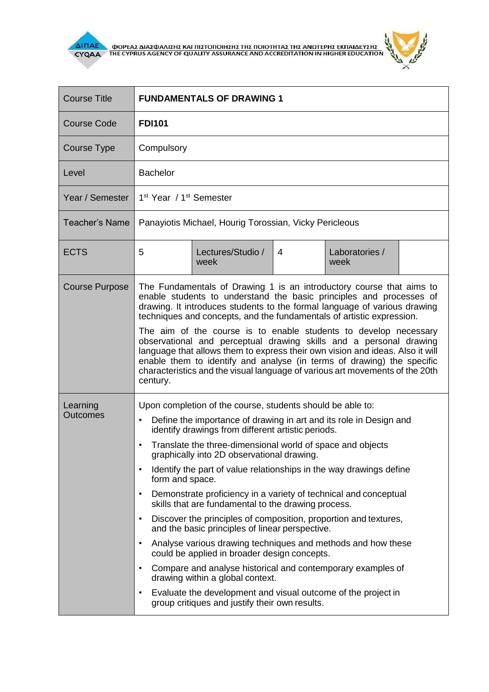

 $\overline{\Delta}$  (MOPEA) ANALO ANALO KALIBET ON THE CYPRUS AGENCY OF QUALITY ASSURANCE AND ACCREDITATION IN HIGHER EDUCATION



| <b>Course Title</b>         | <b>FUNDAMENTALS OF DRAWING 1</b>                                                                                                                                                                                                                                                                                                                                                                                                                                                                                                                                                                                                                                                                                                                                                                                                                                                                                                                                                                                                                                                             |                           |   |                        |  |  |
|-----------------------------|----------------------------------------------------------------------------------------------------------------------------------------------------------------------------------------------------------------------------------------------------------------------------------------------------------------------------------------------------------------------------------------------------------------------------------------------------------------------------------------------------------------------------------------------------------------------------------------------------------------------------------------------------------------------------------------------------------------------------------------------------------------------------------------------------------------------------------------------------------------------------------------------------------------------------------------------------------------------------------------------------------------------------------------------------------------------------------------------|---------------------------|---|------------------------|--|--|
| <b>Course Code</b>          | <b>FDI101</b>                                                                                                                                                                                                                                                                                                                                                                                                                                                                                                                                                                                                                                                                                                                                                                                                                                                                                                                                                                                                                                                                                |                           |   |                        |  |  |
| Course Type                 | Compulsory                                                                                                                                                                                                                                                                                                                                                                                                                                                                                                                                                                                                                                                                                                                                                                                                                                                                                                                                                                                                                                                                                   |                           |   |                        |  |  |
| Level                       | <b>Bachelor</b>                                                                                                                                                                                                                                                                                                                                                                                                                                                                                                                                                                                                                                                                                                                                                                                                                                                                                                                                                                                                                                                                              |                           |   |                        |  |  |
| Year / Semester             | 1 <sup>st</sup> Year / 1 <sup>st</sup> Semester                                                                                                                                                                                                                                                                                                                                                                                                                                                                                                                                                                                                                                                                                                                                                                                                                                                                                                                                                                                                                                              |                           |   |                        |  |  |
| <b>Teacher's Name</b>       | Panayiotis Michael, Hourig Torossian, Vicky Pericleous                                                                                                                                                                                                                                                                                                                                                                                                                                                                                                                                                                                                                                                                                                                                                                                                                                                                                                                                                                                                                                       |                           |   |                        |  |  |
| <b>ECTS</b>                 | 5                                                                                                                                                                                                                                                                                                                                                                                                                                                                                                                                                                                                                                                                                                                                                                                                                                                                                                                                                                                                                                                                                            | Lectures/Studio /<br>week | 4 | Laboratories /<br>week |  |  |
| <b>Course Purpose</b>       | The Fundamentals of Drawing 1 is an introductory course that aims to<br>enable students to understand the basic principles and processes of<br>drawing. It introduces students to the formal language of various drawing<br>techniques and concepts, and the fundamentals of artistic expression.<br>The aim of the course is to enable students to develop necessary<br>observational and perceptual drawing skills and a personal drawing<br>language that allows them to express their own vision and ideas. Also it will<br>enable them to identify and analyse (in terms of drawing) the specific<br>characteristics and the visual language of various art movements of the 20th<br>century.                                                                                                                                                                                                                                                                                                                                                                                           |                           |   |                        |  |  |
| Learning<br><b>Outcomes</b> | Upon completion of the course, students should be able to:<br>Define the importance of drawing in art and its role in Design and<br>$\bullet$<br>identify drawings from different artistic periods.<br>Translate the three-dimensional world of space and objects<br>$\bullet$<br>graphically into 2D observational drawing.<br>Identify the part of value relationships in the way drawings define<br>$\bullet$<br>form and space.<br>Demonstrate proficiency in a variety of technical and conceptual<br>$\bullet$<br>skills that are fundamental to the drawing process.<br>Discover the principles of composition, proportion and textures,<br>$\bullet$<br>and the basic principles of linear perspective.<br>Analyse various drawing techniques and methods and how these<br>$\bullet$<br>could be applied in broader design concepts.<br>Compare and analyse historical and contemporary examples of<br>$\bullet$<br>drawing within a global context.<br>Evaluate the development and visual outcome of the project in<br>$\bullet$<br>group critiques and justify their own results. |                           |   |                        |  |  |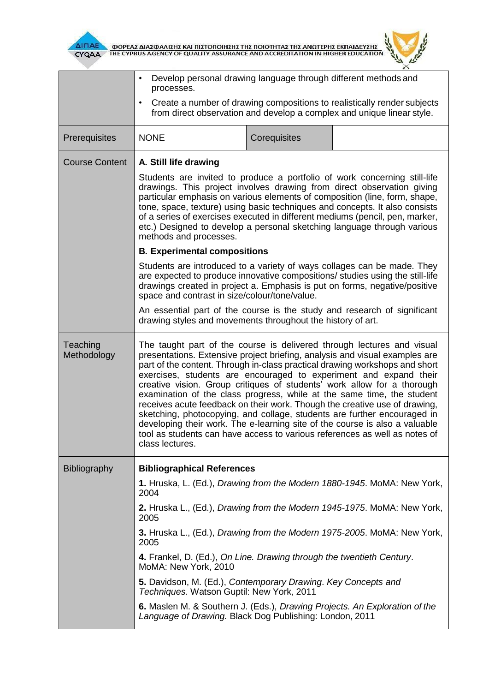



|                         | Develop personal drawing language through different methods and<br>$\bullet$<br>processes.                                                                                                                                                                                                                                                                                                                                                                                                                                                                                                                                                                                                                                                                                                               |              |  |  |  |  |
|-------------------------|----------------------------------------------------------------------------------------------------------------------------------------------------------------------------------------------------------------------------------------------------------------------------------------------------------------------------------------------------------------------------------------------------------------------------------------------------------------------------------------------------------------------------------------------------------------------------------------------------------------------------------------------------------------------------------------------------------------------------------------------------------------------------------------------------------|--------------|--|--|--|--|
|                         | Create a number of drawing compositions to realistically render subjects<br>$\bullet$<br>from direct observation and develop a complex and unique linear style.                                                                                                                                                                                                                                                                                                                                                                                                                                                                                                                                                                                                                                          |              |  |  |  |  |
| Prerequisites           | <b>NONE</b>                                                                                                                                                                                                                                                                                                                                                                                                                                                                                                                                                                                                                                                                                                                                                                                              | Corequisites |  |  |  |  |
| <b>Course Content</b>   | A. Still life drawing<br>Students are invited to produce a portfolio of work concerning still-life<br>drawings. This project involves drawing from direct observation giving<br>particular emphasis on various elements of composition (line, form, shape,<br>tone, space, texture) using basic techniques and concepts. It also consists<br>of a series of exercises executed in different mediums (pencil, pen, marker,<br>etc.) Designed to develop a personal sketching language through various<br>methods and processes.                                                                                                                                                                                                                                                                           |              |  |  |  |  |
|                         |                                                                                                                                                                                                                                                                                                                                                                                                                                                                                                                                                                                                                                                                                                                                                                                                          |              |  |  |  |  |
|                         | <b>B. Experimental compositions</b>                                                                                                                                                                                                                                                                                                                                                                                                                                                                                                                                                                                                                                                                                                                                                                      |              |  |  |  |  |
|                         | Students are introduced to a variety of ways collages can be made. They<br>are expected to produce innovative compositions/ studies using the still-life<br>drawings created in project a. Emphasis is put on forms, negative/positive<br>space and contrast in size/colour/tone/value.                                                                                                                                                                                                                                                                                                                                                                                                                                                                                                                  |              |  |  |  |  |
|                         | An essential part of the course is the study and research of significant<br>drawing styles and movements throughout the history of art.                                                                                                                                                                                                                                                                                                                                                                                                                                                                                                                                                                                                                                                                  |              |  |  |  |  |
| Teaching<br>Methodology | The taught part of the course is delivered through lectures and visual<br>presentations. Extensive project briefing, analysis and visual examples are<br>part of the content. Through in-class practical drawing workshops and short<br>exercises, students are encouraged to experiment and expand their<br>creative vision. Group critiques of students' work allow for a thorough<br>examination of the class progress, while at the same time, the student<br>receives acute feedback on their work. Though the creative use of drawing,<br>sketching, photocopying, and collage, students are further encouraged in<br>developing their work. The e-learning site of the course is also a valuable<br>tool as students can have access to various references as well as notes of<br>class lectures. |              |  |  |  |  |
| Bibliography            | <b>Bibliographical References</b>                                                                                                                                                                                                                                                                                                                                                                                                                                                                                                                                                                                                                                                                                                                                                                        |              |  |  |  |  |
|                         | 1. Hruska, L. (Ed.), Drawing from the Modern 1880-1945. MoMA: New York,<br>2004                                                                                                                                                                                                                                                                                                                                                                                                                                                                                                                                                                                                                                                                                                                          |              |  |  |  |  |
|                         | 2. Hruska L., (Ed.), Drawing from the Modern 1945-1975. MoMA: New York,<br>2005                                                                                                                                                                                                                                                                                                                                                                                                                                                                                                                                                                                                                                                                                                                          |              |  |  |  |  |
|                         | 3. Hruska L., (Ed.), Drawing from the Modern 1975-2005. MoMA: New York,<br>2005                                                                                                                                                                                                                                                                                                                                                                                                                                                                                                                                                                                                                                                                                                                          |              |  |  |  |  |
|                         | 4. Frankel, D. (Ed.), On Line. Drawing through the twentieth Century.<br>MoMA: New York, 2010                                                                                                                                                                                                                                                                                                                                                                                                                                                                                                                                                                                                                                                                                                            |              |  |  |  |  |
|                         | 5. Davidson, M. (Ed.), Contemporary Drawing. Key Concepts and<br>Techniques. Watson Guptil: New York, 2011                                                                                                                                                                                                                                                                                                                                                                                                                                                                                                                                                                                                                                                                                               |              |  |  |  |  |
|                         | 6. Maslen M. & Southern J. (Eds.), Drawing Projects. An Exploration of the<br>Language of Drawing. Black Dog Publishing: London, 2011                                                                                                                                                                                                                                                                                                                                                                                                                                                                                                                                                                                                                                                                    |              |  |  |  |  |